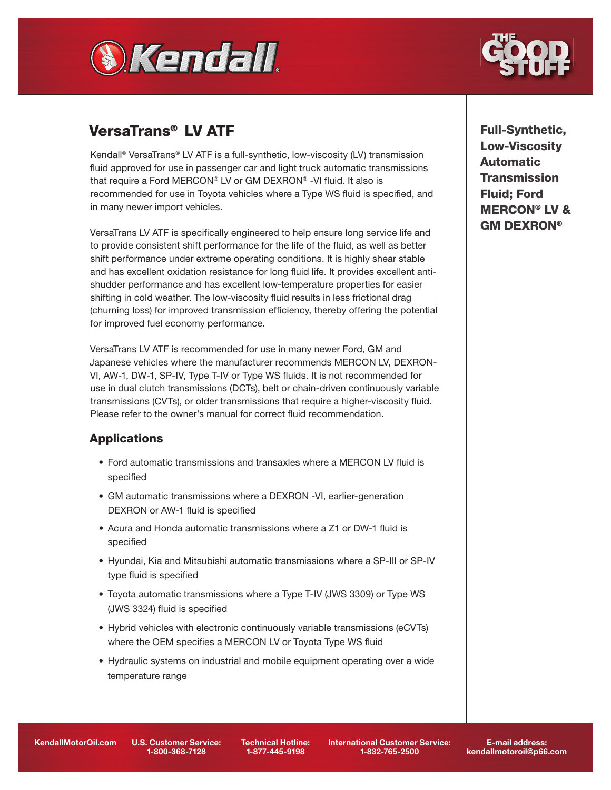



# VersaTrans® LV ATF

Kendall® VersaTrans® LV ATF is a full-synthetic, low-viscosity (LV) transmission fluid approved for use in passenger car and light truck automatic transmissions that require a Ford MERCON® LV or GM DEXRON® -VI fluid. It also is recommended for use in Toyota vehicles where a Type WS fluid is specified, and in many newer import vehicles.

VersaTrans LV ATF is specifically engineered to help ensure long service life and to provide consistent shift performance for the life of the fluid, as well as better shift performance under extreme operating conditions. It is highly shear stable and has excellent oxidation resistance for long fluid life. It provides excellent antishudder performance and has excellent low-temperature properties for easier shifting in cold weather. The low-viscosity fluid results in less frictional drag (churning loss) for improved transmission efficiency, thereby offering the potential for improved fuel economy performance.

VersaTrans LV ATF is recommended for use in many newer Ford, GM and Japanese vehicles where the manufacturer recommends MERCON LV, DEXRON-VI, AW-1, DW-1, SP-IV, Type T-IV or Type WS fluids. It is not recommended for use in dual clutch transmissions (DCTs), belt or chain-driven continuously variable transmissions (CVTs), or older transmissions that require a higher-viscosity fluid. Please refer to the owner's manual for correct fluid recommendation.

# **Applications**

- Ford automatic transmissions and transaxles where a MERCON LV fluid is specified
- GM automatic transmissions where a DEXRON -VI, earlier-generation DEXRON or AW-1 fluid is specified
- Acura and Honda automatic transmissions where a Z1 or DW-1 fluid is specified
- Hyundai, Kia and Mitsubishi automatic transmissions where a SP-III or SP-IV type fluid is specified
- Toyota automatic transmissions where a Type T-IV (JWS 3309) or Type WS (JWS 3324) fluid is specified
- Hybrid vehicles with electronic continuously variable transmissions (eCVTs) where the OEM specifies a MERCON LV or Toyota Type WS fluid
- Hydraulic systems on industrial and mobile equipment operating over a wide temperature range

Full-Synthetic, Low-Viscosity Automatic **Transmission** Fluid; Ford MERCON® LV & GM DEXRON®

KendallMotorOil.com U.S. Customer Service:

1-800-368-7128

Technical Hotline: 1-877-445-9198

International Customer Service: 1-832-765-2500

E-mail address: kendallmotoroil@p66.com